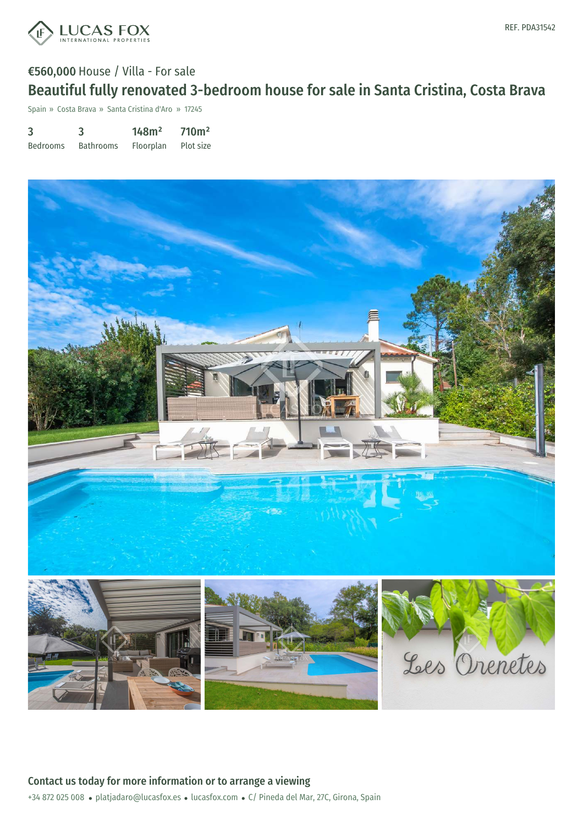

# €560,000 House / Villa - For sale Beautiful fully renovated 3-bedroom house for sale in Santa Cristina, Costa Brava

Spain » Costa Brava » Santa Cristina d'Aro » 17245

| 3               | 3                | 148m <sup>2</sup> | 710 <sup>m²</sup> |
|-----------------|------------------|-------------------|-------------------|
| <b>Bedrooms</b> | <b>Bathrooms</b> | <b>Floorplan</b>  | Plot size         |

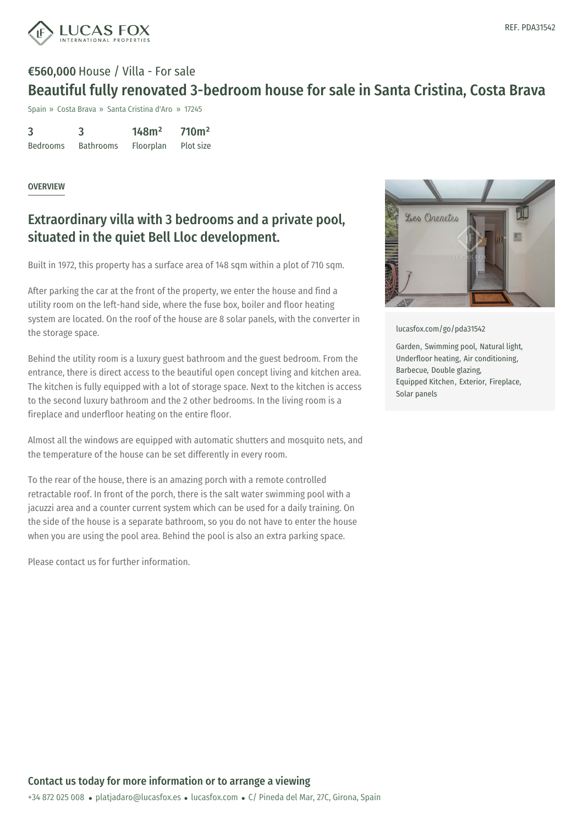

## €560,000 House / Villa - For sale Beautiful fully renovated 3-bedroom house for sale in Santa Cristina, Costa Brava

Spain » Costa Brava » Santa Cristina d'Aro » 17245

| 3               | 3                | 148m <sup>2</sup> | 710 <sup>m²</sup> |
|-----------------|------------------|-------------------|-------------------|
| <b>Bedrooms</b> | <b>Bathrooms</b> | Floorplan         | Plot size         |

#### **OVERVIEW**

### Extraordinary villa with 3 bedrooms and a private pool, situated in the quiet Bell Lloc development.

Built in 1972, this property has a surface area of 148 sqm within a plot of 710 sqm.

After parking the car at the front of the property, we enter the house and find a utility room on the left-hand side, where the fuse box, boiler and floor heating system are located. On the roof of the house are 8 solar panels, with the converter in the storage space.

Behind the utility room is a luxury guest bathroom and the guest bedroom. From the entrance, there is direct access to the beautiful open concept living and kitchen area. The kitchen is fully equipped with a lot of storage space. Next to the kitchen is access to the second luxury bathroom and the 2 other bedrooms. In the living room is a fireplace and underfloor heating on the entire floor.

Almost all the windows are equipped with automatic shutters and mosquito nets, and the temperature of the house can be set differently in every room.

To the rear of the house, there is an amazing porch with a remote controlled retractable roof. In front of the porch, there is the salt water swimming pool with a jacuzzi area and a counter current system which can be used for a daily training. On the side of the house is a separate bathroom, so you do not have to enter the house when you are using the pool area. Behind the pool is also an extra parking space.

Please contact us for further information.



[lucasfox.com/go/pda31542](https://www.lucasfox.com/go/pda31542)

Garden, Swimming pool, Natural light, Underfloor heating, Air conditioning, Barbecue, Double glazing, Equipped Kitchen, Exterior, Fireplace, Solar panels